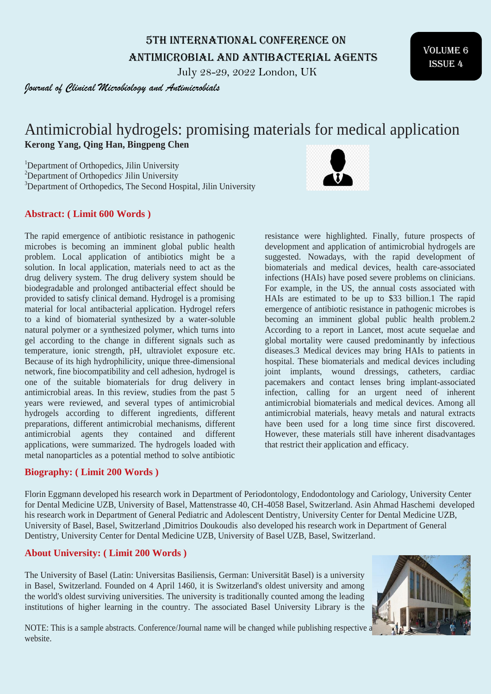5th International Conference on Antimicrobial and Antibacterial Agents

July 28-29, 2022 London, UK

*Journal of Clinical Microbiology and Antimicrobials*

# Antimicrobial hydrogels: promising materials for medical application **Kerong Yang, Qing Han, Bingpeng Chen**

<sup>1</sup>Department of Orthopedics, Jilin University

<sup>2</sup>Department of Orthopedics' Jilin University

<sup>3</sup>Department of Orthopedics, The Second Hospital, Jilin University

## **Abstract: ( Limit 600 Words )**

The rapid emergence of antibiotic resistance in pathogenic microbes is becoming an imminent global public health problem. Local application of antibiotics might be a solution. In local application, materials need to act as the drug delivery system. The drug delivery system should be biodegradable and prolonged antibacterial effect should be provided to satisfy clinical demand. Hydrogel is a promising material for local antibacterial application. Hydrogel refers to a kind of biomaterial synthesized by a water-soluble natural polymer or a synthesized polymer, which turns into gel according to the change in different signals such as temperature, ionic strength, pH, ultraviolet exposure etc. Because of its high hydrophilicity, unique three-dimensional network, fine biocompatibility and cell adhesion, hydrogel is one of the suitable biomaterials for drug delivery in antimicrobial areas. In this review, studies from the past 5 years were reviewed, and several types of antimicrobial hydrogels according to different ingredients, different preparations, different antimicrobial mechanisms, different antimicrobial agents they contained and different applications, were summarized. The hydrogels loaded with metal nanoparticles as a potential method to solve antibiotic

#### **Biography: ( Limit 200 Words )**

resistance were highlighted. Finally, future prospects of development and application of antimicrobial hydrogels are suggested. Nowadays, with the rapid development of biomaterials and medical devices, health care-associated infections (HAIs) have posed severe problems on clinicians. For example, in the US, the annual costs associated with HAIs are estimated to be up to \$33 billion.1 The rapid emergence of antibiotic resistance in pathogenic microbes is becoming an imminent global public health problem.2 According to a report in Lancet, most acute sequelae and global mortality were caused predominantly by infectious diseases.3 Medical devices may bring HAIs to patients in hospital. These biomaterials and medical devices including joint implants, wound dressings, catheters, cardiac pacemakers and contact lenses bring implant-associated infection, calling for an urgent need of inherent antimicrobial biomaterials and medical devices. Among all antimicrobial materials, heavy metals and natural extracts have been used for a long time since first discovered. However, these materials still have inherent disadvantages that restrict their application and efficacy.

NOTE: This is a sample abstracts. Conference/Journal name will be changed while publishing respective a website.

#### **About University: ( Limit 200 Words )**

The University of Basel (Latin: Universitas Basiliensis, German: Universität Basel) is a university in Basel, Switzerland. Founded on 4 April 1460, it is Switzerland's oldest university and among the world's oldest surviving universities. The university is traditionally counted among the leading institutions of higher learning in the country. The associated Basel University Library is the

Dentistry, University Center for Dental Medicine UZB, University of Basel UZB, Basel, Switzerland.

Florin Eggmann developed his research work in Department of Periodontology, Endodontology and Cariology, University Center for Dental Medicine UZB, University of Basel, Mattenstrasse 40, CH-4058 Basel, Switzerland. Asin Ahmad Haschemi developed his research work in Department of General Pediatric and Adolescent Dentistry, University Center for Dental Medicine UZB, University of Basel, Basel, Switzerland ,Dimitrios Doukoudis also developed his research work in Department of General